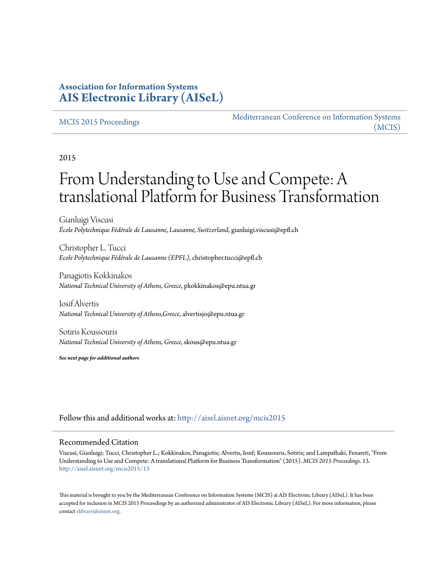# **Association for Information Systems [AIS Electronic Library \(AISeL\)](http://aisel.aisnet.org?utm_source=aisel.aisnet.org%2Fmcis2015%2F13&utm_medium=PDF&utm_campaign=PDFCoverPages)**

#### [MCIS 2015 Proceedings](http://aisel.aisnet.org/mcis2015?utm_source=aisel.aisnet.org%2Fmcis2015%2F13&utm_medium=PDF&utm_campaign=PDFCoverPages)

[Mediterranean Conference on Information Systems](http://aisel.aisnet.org/mcis?utm_source=aisel.aisnet.org%2Fmcis2015%2F13&utm_medium=PDF&utm_campaign=PDFCoverPages) [\(MCIS\)](http://aisel.aisnet.org/mcis?utm_source=aisel.aisnet.org%2Fmcis2015%2F13&utm_medium=PDF&utm_campaign=PDFCoverPages)

2015

# From Understanding to Use and Compete: A translational Platform for Business Transformation

Gianluigi Viscusi *École Polytechnique Fédérale de Lausanne, Lausanne, Switzerland*, gianluigi.viscusi@epfl.ch

Christopher L. Tucci *Ecole Polytechnique Fédérale de Lausanne (EPFL)*, christopher.tucci@epfl.ch

Panagiotis Kokkinakos *National Technical University of Athens, Greece*, pkokkinakos@epu.ntua.gr

Iosif Alvertis *National Technical University of Athens,Greece*, alvertisjo@epu.ntua.gr

Sotiris Koussouris *National Technical University of Athens, Greece*, skous@epu.ntua.gr

*See next page for additional authors*

Follow this and additional works at: [http://aisel.aisnet.org/mcis2015](http://aisel.aisnet.org/mcis2015?utm_source=aisel.aisnet.org%2Fmcis2015%2F13&utm_medium=PDF&utm_campaign=PDFCoverPages)

#### Recommended Citation

Viscusi, Gianluigi; Tucci, Christopher L.; Kokkinakos, Panagiotis; Alvertis, Iosif; Koussouris, Sotiris; and Lampathaki, Fenareti, "From Understanding to Use and Compete: A translational Platform for Business Transformation" (2015). *MCIS 2015 Proceedings*. 13. [http://aisel.aisnet.org/mcis2015/13](http://aisel.aisnet.org/mcis2015/13?utm_source=aisel.aisnet.org%2Fmcis2015%2F13&utm_medium=PDF&utm_campaign=PDFCoverPages)

This material is brought to you by the Mediterranean Conference on Information Systems (MCIS) at AIS Electronic Library (AISeL). It has been accepted for inclusion in MCIS 2015 Proceedings by an authorized administrator of AIS Electronic Library (AISeL). For more information, please contact [elibrary@aisnet.org.](mailto:elibrary@aisnet.org%3E)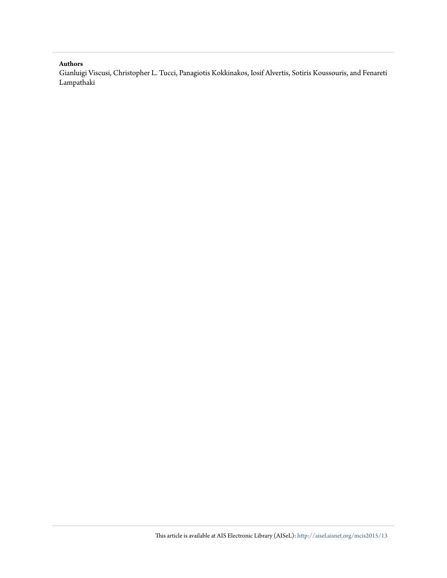#### **Authors**

Gianluigi Viscusi, Christopher L. Tucci, Panagiotis Kokkinakos, Iosif Alvertis, Sotiris Koussouris, and Fenareti Lampathaki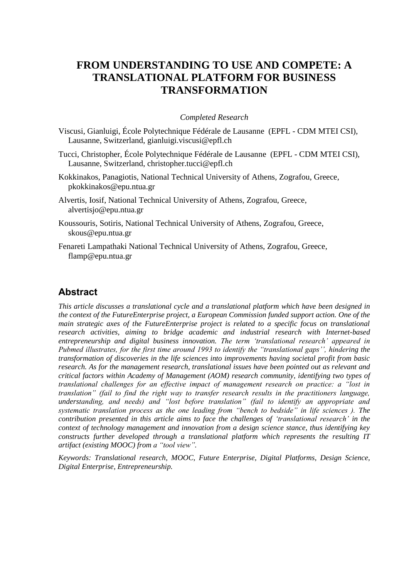# **FROM UNDERSTANDING TO USE AND COMPETE: A TRANSLATIONAL PLATFORM FOR BUSINESS TRANSFORMATION**

#### *Completed Research*

- Viscusi, Gianluigi, École Polytechnique Fédérale de Lausanne (EPFL CDM MTEI CSI), Lausanne, Switzerland, gianluigi.viscusi@epfl.ch
- Tucci, Christopher, École Polytechnique Fédérale de Lausanne (EPFL CDM MTEI CSI), Lausanne, Switzerland, christopher.tucci@epfl.ch
- Kokkinakos, Panagiotis, National Technical University of Athens, Zografou, Greece, pkokkinakos@epu.ntua.gr
- Alvertis, Iosif, National Technical University of Athens, Zografou, Greece, alvertisjo@epu.ntua.gr
- Koussouris, Sotiris, National Technical University of Athens, Zografou, Greece, skous@epu.ntua.gr
- Fenareti Lampathaki National Technical University of Athens, Zografou, Greece, flamp@epu.ntua.gr

# **Abstract**

*This article discusses a translational cycle and a translational platform which have been designed in the context of the FutureEnterprise project, a European Commission funded support action. One of the main strategic axes of the FutureEnterprise project is related to a specific focus on translational research activities, aiming to bridge academic and industrial research with Internet-based entrepreneurship and digital business innovation. The term 'translational research' appeared in Pubmed illustrates, for the first time around 1993 to identify the "translational gaps'', hindering the transformation of discoveries in the life sciences into improvements having societal profit from basic research. As for the management research, translational issues have been pointed out as relevant and critical factors within Academy of Management (AOM) research community, identifying two types of translational challenges for an effective impact of management research on practice: a "lost in translation" (fail to find the right way to transfer research results in the practitioners language, understanding, and needs) and "lost before translation" (fail to identify an appropriate and systematic translation process as the one leading from "bench to bedside" in life sciences ). The contribution presented in this article aims to face the challenges of 'translational research' in the context of technology management and innovation from a design science stance, thus identifying key constructs further developed through a translational platform which represents the resulting IT artifact (existing MOOC) from a "tool view".*

*Keywords: Translational research, MOOC, Future Enterprise, Digital Platforms, Design Science, Digital Enterprise, Entrepreneurship.*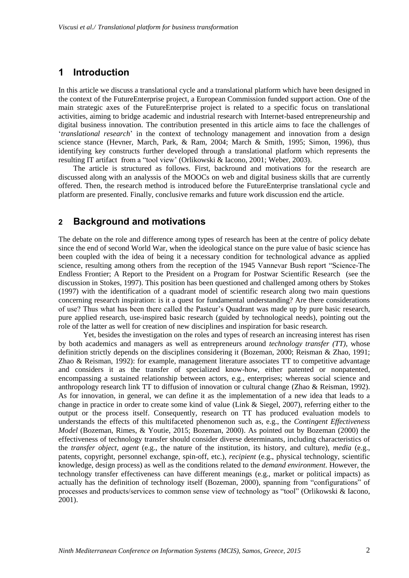# **1 Introduction**

In this article we discuss a translational cycle and a translational platform which have been designed in the context of the FutureEnterprise project, a European Commission funded support action. One of the main strategic axes of the FutureEnterprise project is related to a specific focus on translational activities, aiming to bridge academic and industrial research with Internet-based entrepreneurship and digital business innovation. The contribution presented in this article aims to face the challenges of '*translational research*' in the context of technology management and innovation from a design science stance (Hevner, March, Park, & Ram, 2004; March & Smith, 1995; Simon, 1996), thus identifying key constructs further developed through a translational platform which represents the resulting IT artifact from a "tool view' (Orlikowski & Iacono, 2001; Weber, 2003).

The article is structured as follows. First, backround and motivations for the research are discussed along with an analyssis of the MOOCs on web and digital business skills that are currently offered. Then, the research method is introduced before the FutureEnterprise translational cycle and platform are presented. Finally, conclusive remarks and future work discussion end the article.

## **2 Background and motivations**

The debate on the role and difference among types of research has been at the centre of policy debate since the end of second World War, when the ideological stance on the pure value of basic science has been coupled with the idea of being it a necessary condition for technological advance as applied science, resulting among others from the reception of the 1945 Vannevar Bush report "Science-The Endless Frontier; A Report to the President on a Program for Postwar Scientific Research (see the discussion in Stokes, 1997). This position has been questioned and challenged among others by Stokes (1997) with the identification of a quadrant model of scientific research along two main questions concerning research inspiration: is it a quest for fundamental understanding? Are there considerations of use? Thus what has been there called the Pasteur's Quadrant was made up by pure basic research, pure applied research, use-inspired basic research (guided by technological needs), pointing out the role of the latter as well for creation of new disciplines and inspiration for basic research.

Yet, besides the investigation on the roles and types of research an increasing interest has risen by both academics and managers as well as entrepreneurs around *technology transfer (TT)*, whose definition strictly depends on the disciplines considering it (Bozeman, 2000; Reisman & Zhao, 1991; Zhao & Reisman, 1992): for example, management literature associates TT to competitive advantage and considers it as the transfer of specialized know-how, either patented or nonpatented, encompassing a sustained relationship between actors, e.g., enterprises; whereas social science and anthropology research link TT to diffusion of innovation or cultural change (Zhao & Reisman, 1992). As for innovation, in general, we can define it as the implementation of a new idea that leads to a change in practice in order to create some kind of value (Link & Siegel, 2007), referring either to the output or the process itself. Consequently, research on TT has produced evaluation models to understands the effects of this multifaceted phenomenon such as, e.g., the *Contingent Effectiveness Model* (Bozeman, Rimes, & Youtie, 2015; Bozeman, 2000). As pointed out by Bozeman (2000) the effectiveness of technology transfer should consider diverse determinants, including characteristics of the *transfer object*, *agent* (e.g., the nature of the institution, its history, and culture), *media* (e.g., patents, copyright, personnel exchange, spin-off, etc.), *recipient* (e.g., physical technology, scientific knowledge, design process) as well as the conditions related to the *demand environment*. However, the technology transfer effectiveness can have different meanings (e.g., market or political impacts) as actually has the definition of technology itself (Bozeman, 2000), spanning from "configurations" of processes and products/services to common sense view of technology as "tool" (Orlikowski & Iacono, 2001).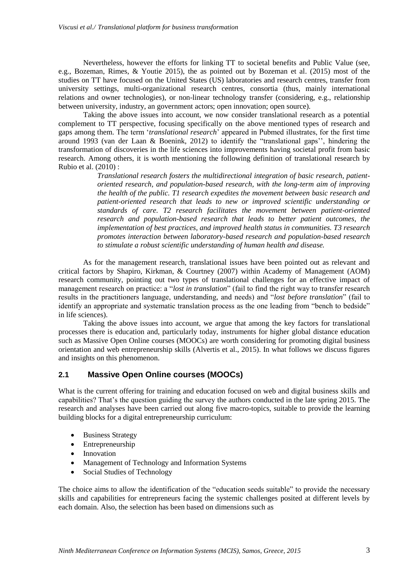Nevertheless, however the efforts for linking TT to societal benefits and Public Value (see, e.g., Bozeman, Rimes, & Youtie 2015), the as pointed out by Bozeman et al. (2015) most of the studies on TT have focused on the United States (US) laboratories and research centres, transfer from university settings, multi-organizational research centres, consortia (thus, mainly international relations and owner technologies), or non-linear technology transfer (considering, e.g., relationship between university, industry, an government actors; open innovation; open source).

Taking the above issues into account, we now consider translational research as a potential complement to TT perspective, focusing specifically on the above mentioned types of research and gaps among them. The term '*translational research*' appeared in Pubmed illustrates, for the first time around 1993 (van der Laan & Boenink, 2012) to identify the "translational gaps'', hindering the transformation of discoveries in the life sciences into improvements having societal profit from basic research. Among others, it is worth mentioning the following definition of translational research by Rubio et al. (2010) :

> *Translational research fosters the multidirectional integration of basic research, patientoriented research, and population-based research, with the long-term aim of improving the health of the public. T1 research expedites the movement between basic research and patient-oriented research that leads to new or improved scientific understanding or standards of care. T2 research facilitates the movement between patient-oriented research and population-based research that leads to better patient outcomes, the implementation of best practices, and improved health status in communities. T3 research promotes interaction between laboratory-based research and population-based research to stimulate a robust scientific understanding of human health and disease.*

As for the management research, translational issues have been pointed out as relevant and critical factors by Shapiro, Kirkman, & Courtney (2007) within Academy of Management (AOM) research community, pointing out two types of translational challenges for an effective impact of management research on practice: a "*lost in translation*" (fail to find the right way to transfer research results in the practitioners language, understanding, and needs) and "*lost before translation*" (fail to identify an appropriate and systematic translation process as the one leading from "bench to bedside" in life sciences).

Taking the above issues into account, we argue that among the key factors for translational processes there is education and, particularly today, instruments for higher global distance education such as Massive Open Online courses (MOOCs) are worth considering for promoting digital business orientation and web entrepreneurship skills (Alvertis et al., 2015). In what follows we discuss figures and insights on this phenomenon.

#### **2.1 Massive Open Online courses (MOOCs)**

What is the current offering for training and education focused on web and digital business skills and capabilities? That's the question guiding the survey the authors conducted in the late spring 2015. The research and analyses have been carried out along five macro-topics, suitable to provide the learning building blocks for a digital entrepreneurship curriculum:

- Business Strategy
- Entrepreneurship
- Innovation
- Management of Technology and Information Systems
- Social Studies of Technology

The choice aims to allow the identification of the "education seeds suitable" to provide the necessary skills and capabilities for entrepreneurs facing the systemic challenges posited at different levels by each domain. Also, the selection has been based on dimensions such as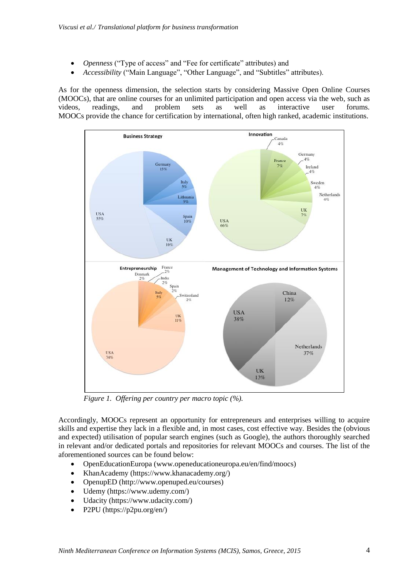- *Openness* ("Type of access" and "Fee for certificate" attributes) and
- *Accessibility* ("Main Language", "Other Language", and "Subtitles" attributes).

As for the openness dimension, the selection starts by considering Massive Open Online Courses (MOOCs), that are online courses for an unlimited participation and open access via the web, such as videos, readings, and problem sets as well as interactive user forums. MOOCs provide the chance for certification by international, often high ranked, academic institutions.



*Figure 1. Offering per country per macro topic (%).*

Accordingly, MOOCs represent an opportunity for entrepreneurs and enterprises willing to acquire skills and expertise they lack in a flexible and, in most cases, cost effective way. Besides the (obvious and expected) utilisation of popular search engines (such as Google), the authors thoroughly searched in relevant and/or dedicated portals and repositories for relevant MOOCs and courses. The list of the aforementioned sources can be found below:

- OpenEducationEuropa (www.openeducationeuropa.eu/en/find/moocs)
- KhanAcademy (https://www.khanacademy.org/)
- OpenupED (http://www.openuped.eu/courses)
- Udemy (https://www.udemy.com/)
- Udacity (https://www.udacity.com/)
- P2PU (https://p2pu.org/en/)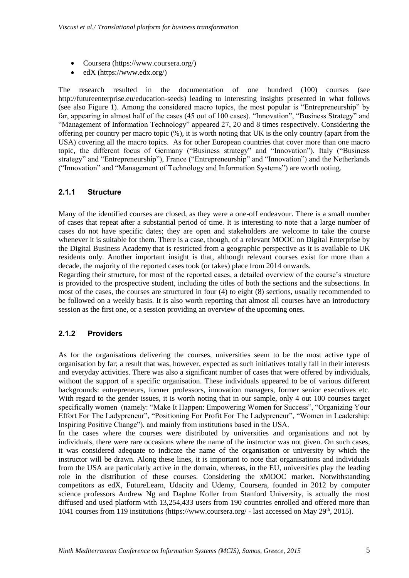- Coursera (https://www.coursera.org/)
- edX (https://www.edx.org/)

The research resulted in the documentation of one hundred (100) courses (see http://futureenterprise.eu/education-seeds) leading to interesting insights presented in what follows (see also Figure 1). Among the considered macro topics, the most popular is "Entrepreneurship" by far, appearing in almost half of the cases (45 out of 100 cases). "Innovation", "Business Strategy" and "Management of Information Technology" appeared 27, 20 and 8 times respectively. Considering the offering per country per macro topic (%), it is worth noting that UK is the only country (apart from the USA) covering all the macro topics. As for other European countries that cover more than one macro topic, the different focus of Germany ("Business strategy" and "Innovation"), Italy ("Business strategy" and "Entrepreneurship"), France ("Entrepreneurship" and "Innovation") and the Netherlands ("Innovation" and "Management of Technology and Information Systems") are worth noting.

### **2.1.1 Structure**

Many of the identified courses are closed, as they were a one-off endeavour. There is a small number of cases that repeat after a substantial period of time. It is interesting to note that a large number of cases do not have specific dates; they are open and stakeholders are welcome to take the course whenever it is suitable for them. There is a case, though, of a relevant MOOC on Digital Enterprise by the Digital Business Academy that is restricted from a geographic perspective as it is available to UK residents only. Another important insight is that, although relevant courses exist for more than a decade, the majority of the reported cases took (or takes) place from 2014 onwards.

Regarding their structure, for most of the reported cases, a detailed overview of the course's structure is provided to the prospective student, including the titles of both the sections and the subsections. In most of the cases, the courses are structured in four (4) to eight (8) sections, usually recommended to be followed on a weekly basis. It is also worth reporting that almost all courses have an introductory session as the first one, or a session providing an overview of the upcoming ones.

## **2.1.2 Providers**

As for the organisations delivering the courses, universities seem to be the most active type of organisation by far; a result that was, however, expected as such initiatives totally fall in their interests and everyday activities. There was also a significant number of cases that were offered by individuals, without the support of a specific organisation. These individuals appeared to be of various different backgrounds: entrepreneurs, former professors, innovation managers, former senior executives etc. With regard to the gender issues, it is worth noting that in our sample, only 4 out 100 courses target specifically women (namely: "Make It Happen: Empowering Women for Success", "Organizing Your Effort For The Ladypreneur", "Positioning For Profit For The Ladypreneur", "Women in Leadership: Inspiring Positive Change"), and mainly from institutions based in the USA.

In the cases where the courses were distributed by universities and organisations and not by individuals, there were rare occasions where the name of the instructor was not given. On such cases, it was considered adequate to indicate the name of the organisation or university by which the instructor will be drawn. Along these lines, it is important to note that organisations and individuals from the USA are particularly active in the domain, whereas, in the EU, universities play the leading role in the distribution of these courses. Considering the xMOOC market. Notwithstanding competitors as edX, FutureLearn, Udacity and Udemy, Coursera, founded in 2012 by computer science professors Andrew Ng and Daphne Koller from Stanford University, is actually the most diffused and used platform with 13,254,433 users from 190 countries enrolled and offered more than 1041 courses from 119 institutions (https://www.coursera.org/ - last accessed on May 29<sup>th</sup>, 2015).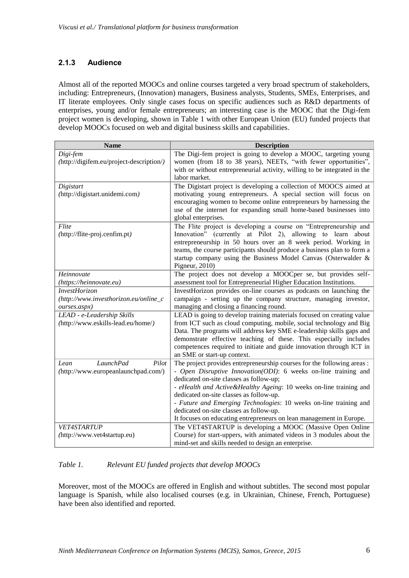## **2.1.3 Audience**

Almost all of the reported MOOCs and online courses targeted a very broad spectrum of stakeholders, including: Entrepreneurs, (Innovation) managers, Business analysts, Students, SMEs, Enterprises, and IT literate employees. Only single cases focus on specific audiences such as R&D departments of enterprises, young and/or female entrepreneurs; an interesting case is the MOOC that the Digi-fem project women is developing, shown in Table 1 with other European Union (EU) funded projects that develop MOOCs focused on web and digital business skills and capabilities.

| <b>Name</b>                                                       | <b>Description</b>                                                                                                                                                                                                                                                                                                                                                                                                                                                                              |  |  |  |
|-------------------------------------------------------------------|-------------------------------------------------------------------------------------------------------------------------------------------------------------------------------------------------------------------------------------------------------------------------------------------------------------------------------------------------------------------------------------------------------------------------------------------------------------------------------------------------|--|--|--|
| Digi-fem<br>(http://digifem.eu/project-description/)              | The Digi-fem project is going to develop a MOOC, targeting young<br>women (from 18 to 38 years), NEETs, "with fewer opportunities",<br>with or without entrepreneurial activity, willing to be integrated in the<br>labor market.                                                                                                                                                                                                                                                               |  |  |  |
| Digistart<br>(http://digistart.unidemi.com)                       | The Digistart project is developing a collection of MOOCS aimed at<br>motivating young entrepreneurs. A special section will focus on<br>encouraging women to become online entrepreneurs by harnessing the<br>use of the internet for expanding small home-based businesses into<br>global enterprises.                                                                                                                                                                                        |  |  |  |
| Flite<br>(http://flite-proj.cenfim.pt)                            | The Flite project is developing a course on "Entrepreneurship and<br>Innovation" (currently at Pilot 2), allowing to learn about<br>entrepreneurship in 50 hours over an 8 week period. Working in<br>teams, the course participants should produce a business plan to form a<br>startup company using the Business Model Canvas (Osterwalder &<br>Pigneur, $2010$ )                                                                                                                            |  |  |  |
| Heinnovate                                                        | The project does not develop a MOOCper se, but provides self-                                                                                                                                                                                                                                                                                                                                                                                                                                   |  |  |  |
| (https://heinnovate.eu)<br><b>InvestHorizon</b>                   | assessment tool for Entrepreneurial Higher Education Institutions.<br>InvestHorizon provides on-line courses as podcasts on launching the                                                                                                                                                                                                                                                                                                                                                       |  |  |  |
| (http://www.investhorizon.eu/online_c<br>ourses.aspx)             | campaign - setting up the company structure, managing investor,<br>managing and closing a financing round.                                                                                                                                                                                                                                                                                                                                                                                      |  |  |  |
| LEAD - e-Leadership Skills<br>(http://www.eskills-lead.eu/home/)  | LEAD is going to develop training materials focused on creating value<br>from ICT such as cloud computing, mobile, social technology and Big<br>Data. The programs will address key SME e-leadership skills gaps and<br>demonstrate effective teaching of these. This especially includes<br>competences required to initiate and guide innovation through ICT in<br>an SME or start-up context.                                                                                                |  |  |  |
| LaunchPad<br>Pilot<br>Lean<br>(http://www.europeanlaunchpad.com/) | The project provides entrepreneurship courses for the following areas :<br>- Open Disruptive Innovation(ODI): 6 weeks on-line training and<br>dedicated on-site classes as follow-up;<br>- eHealth and Active & Healthy Ageing: 10 weeks on-line training and<br>dedicated on-site classes as follow-up.<br>- Future and Emerging Technologies: 10 weeks on-line training and<br>dedicated on-site classes as follow-up.<br>It focuses on educating entrepreneurs on lean management in Europe. |  |  |  |
| <b>VET4STARTUP</b><br>(http://www.vet4startup.eu)                 | The VET4STARTUP is developing a MOOC (Massive Open Online<br>Course) for start-uppers, with animated videos in 3 modules about the<br>mind-set and skills needed to design an enterprise.                                                                                                                                                                                                                                                                                                       |  |  |  |

#### *Table 1. Relevant EU funded projects that develop MOOCs*

Moreover, most of the MOOCs are offered in English and without subtitles. The second most popular language is Spanish, while also localised courses (e.g. in Ukrainian, Chinese, French, Portuguese) have been also identified and reported.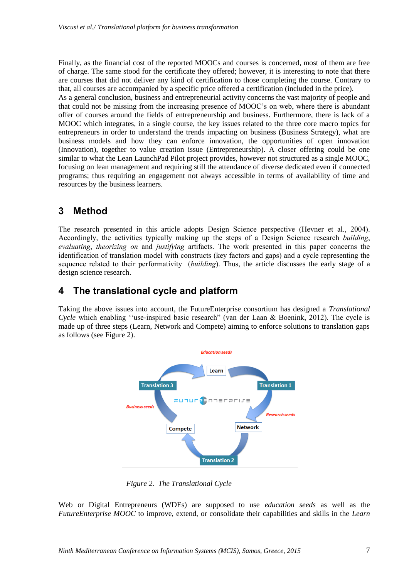Finally, as the financial cost of the reported MOOCs and courses is concerned, most of them are free of charge. The same stood for the certificate they offered; however, it is interesting to note that there are courses that did not deliver any kind of certification to those completing the course. Contrary to that, all courses are accompanied by a specific price offered a certification (included in the price). As a general conclusion, business and entrepreneurial activity concerns the vast majority of people and that could not be missing from the increasing presence of MOOC's on web, where there is abundant offer of courses around the fields of entrepreneurship and business. Furthermore, there is lack of a MOOC which integrates, in a single course, the key issues related to the three core macro topics for entrepreneurs in order to understand the trends impacting on business (Business Strategy), what are business models and how they can enforce innovation, the opportunities of open innovation (Innovation), together to value creation issue (Entrepreneurship). A closer offering could be one similar to what the Lean LaunchPad Pilot project provides, however not structured as a single MOOC, focusing on lean management and requiring still the attendance of diverse dedicated even if connected programs; thus requiring an engagement not always accessible in terms of availability of time and resources by the business learners.

# **3 Method**

The research presented in this article adopts Design Science perspective (Hevner et al., 2004). Accordingly, the activities typically making up the steps of a Design Science research *building*, *evaluating*, *theorizing on* and *justifying* artifacts. The work presented in this paper concerns the identification of translation model with constructs (key factors and gaps) and a cycle representing the sequence related to their performativity (*building*). Thus, the article discusses the early stage of a design science research.

# **4 The translational cycle and platform**

Taking the above issues into account, the FutureEnterprise consortium has designed a *Translational Cycle* which enabling ''use-inspired basic research" (van der Laan & Boenink, 2012). The cycle is made up of three steps (Learn, Network and Compete) aiming to enforce solutions to translation gaps as follows (see Figure 2).



*Figure 2. The Translational Cycle*

Web or Digital Entrepreneurs (WDEs) are supposed to use *education seeds* as well as the *FutureEnterprise MOOC* to improve, extend, or consolidate their capabilities and skills in the *Learn*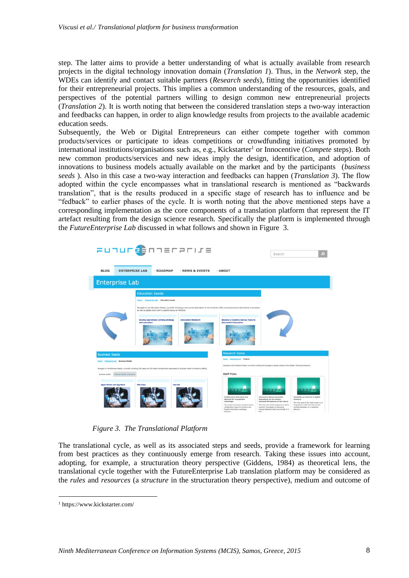step. The latter aims to provide a better understanding of what is actually available from research projects in the digital technology innovation domain (*Translation 1*). Thus, in the *Network* step, the WDEs can identify and contact suitable partners (*Research seeds*), fitting the opportunities identified for their entrepreneurial projects. This implies a common understanding of the resources, goals, and perspectives of the potential partners willing to design common new entrepreneurial projects (*Translation 2*). It is worth noting that between the considered translation steps a two-way interaction and feedbacks can happen, in order to align knowledge results from projects to the available academic education seeds.

Subsequently, the Web or Digital Entrepreneurs can either compete together with common products/services or participate to ideas competitions or crowdfunding initiatives promoted by international institutions/organisations such as, e.g., Kickstarter<sup>1</sup> or Innocentive (*Compete* steps). Both new common products/services and new ideas imply the design, identification, and adoption of innovations to business models actually available on the market and by the participants (*business seeds* ). Also in this case a two-way interaction and feedbacks can happen (*Translation 3*). The flow adopted within the cycle encompasses what in translational research is mentioned as "backwards translation", that is the results produced in a specific stage of research has to influence and be "fedback" to earlier phases of the cycle. It is worth noting that the above mentioned steps have a corresponding implementation as the core components of a translation platform that represent the IT artefact resulting from the design science research. Specifically the platform is implemented through the *FutureEnterprise Lab* discussed in what follows and shown in Figure 3.

| <b>FUNULOS</b> MARE                            |                                                                                                                                                                                                                                                                                                                                                |                             |                                                                                                                                                                                                      | Search                                                                                                                                                                                                                           | ſø,                                                                                                                                                                                  |
|------------------------------------------------|------------------------------------------------------------------------------------------------------------------------------------------------------------------------------------------------------------------------------------------------------------------------------------------------------------------------------------------------|-----------------------------|------------------------------------------------------------------------------------------------------------------------------------------------------------------------------------------------------|----------------------------------------------------------------------------------------------------------------------------------------------------------------------------------------------------------------------------------|--------------------------------------------------------------------------------------------------------------------------------------------------------------------------------------|
| <b>BLOG</b><br><b>ENTERPRISE LAB</b>           | $\neg$ ROADMAP                                                                                                                                                                                                                                                                                                                                 | - NEWS & EVENTS             | $\neg$ ABOUT                                                                                                                                                                                         |                                                                                                                                                                                                                                  |                                                                                                                                                                                      |
| <b>Enterprise Lab</b>                          |                                                                                                                                                                                                                                                                                                                                                |                             |                                                                                                                                                                                                      |                                                                                                                                                                                                                                  |                                                                                                                                                                                      |
|                                                | <b>Education Seeds</b><br>Home + Enterprise Lab + Education seeds<br>Navigate to the Education Seeds, currently including a structured description of one hundred (100) courses/curricula delivered at a European<br>as well as global level (with a specific focus on MODCs).<br><b>Scaling operations: Linking strategy</b><br>and execution | <b>Innovation Kickstart</b> | <b>Become a Creative Genius: Keys to</b><br><b>Successful Innovation</b>                                                                                                                             |                                                                                                                                                                                                                                  |                                                                                                                                                                                      |
| <b>Business Seeds</b>                          |                                                                                                                                                                                                                                                                                                                                                |                             | <b>Research Seeds</b><br>Home . Enterprise Lab . Projects                                                                                                                                            |                                                                                                                                                                                                                                  |                                                                                                                                                                                      |
| Home . Enterprise Lab . Business Models        | Navigate to the Business Seeds, currently including 100 cases and 50 media complements associated to business model innovations (BMIs).                                                                                                                                                                                                        |                             |                                                                                                                                                                                                      | Navigate to the Research Seeds, currently including 16 European projects related to the Digital / Sensing Enterprise.                                                                                                            |                                                                                                                                                                                      |
| Business Models Innovations<br>Business Models |                                                                                                                                                                                                                                                                                                                                                |                             | <b>Staff Picks</b>                                                                                                                                                                                   |                                                                                                                                                                                                                                  |                                                                                                                                                                                      |
| Apple IPhone and App Store                     | <b>PSP/Xbox</b><br><b>Red Hat</b>                                                                                                                                                                                                                                                                                                              |                             | <b>Collaborative Hanufacturing</b><br><b>Network for Competitive</b><br>Advantage<br>The protect envisions a product-centric<br>collaboration space for dynamic and<br>finalble information exchange | <b>Interactive Hanual Assembly</b><br>Operations for the Human-<br>Cantered Workplaces of the Future<br>The main idea of the project is to utilize<br>workers' knowledge on executing<br>manual assembly tasks and include it in | Capability as a Service in digital<br>enterpris<br>The main goal of the CaaS project is to<br>bring about a shift from the service-<br>oriented paradigm to a capability<br>delivery |

*Figure 3. The Translational Platform*

The translational cycle, as well as its associated steps and seeds, provide a framework for learning from best practices as they continuously emerge from research. Taking these issues into account, adopting, for example, a structuration theory perspective (Giddens, 1984) as theoretical lens, the translational cycle together with the FutureEnterprise Lab translation platform may be considered as the *rules* and *resources* (a *structure* in the structuration theory perspective), medium and outcome of

 $\overline{a}$ 

<sup>1</sup> https://www.kickstarter.com/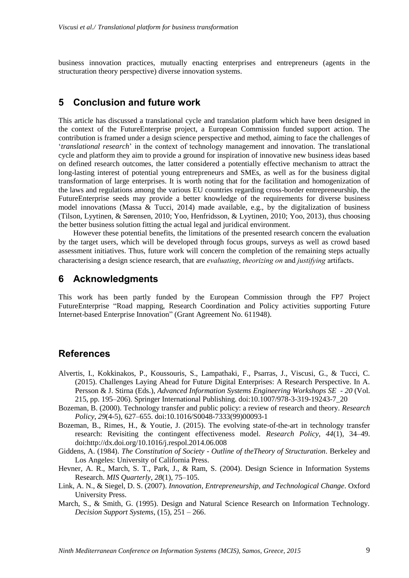business innovation practices, mutually enacting enterprises and entrepreneurs (agents in the structuration theory perspective) diverse innovation systems.

# **5 Conclusion and future work**

This article has discussed a translational cycle and translation platform which have been designed in the context of the FutureEnterprise project, a European Commission funded support action. The contribution is framed under a design science perspective and method, aiming to face the challenges of '*translational research*' in the context of technology management and innovation. The translational cycle and platform they aim to provide a ground for inspiration of innovative new business ideas based on defined research outcomes, the latter considered a potentially effective mechanism to attract the long-lasting interest of potential young entrepreneurs and SMEs, as well as for the business digital transformation of large enterprises. It is worth noting that for the facilitation and homogenization of the laws and regulations among the various EU countries regarding cross-border entrepreneurship, the FutureEnterprise seeds may provide a better knowledge of the requirements for diverse business model innovations (Massa & Tucci, 2014) made available, e.g., by the digitalization of business (Tilson, Lyytinen, & Sørensen, 2010; Yoo, Henfridsson, & Lyytinen, 2010; Yoo, 2013), thus choosing the better business solution fitting the actual legal and juridical environment.

However these potential benefits, the limitations of the presented research concern the evaluation by the target users, which will be developed through focus groups, surveys as well as crowd based assessment initiatives. Thus, future work will concern the completion of the remaining steps actually characterising a design science research, that are *evaluating*, *theorizing on* and *justifying* artifacts.

## **6 Acknowledgments**

This work has been partly funded by the European Commission through the FP7 Project FutureEnterprise "Road mapping, Research Coordination and Policy activities supporting Future Internet-based Enterprise Innovation" (Grant Agreement No. 611948).

## **References**

- Alvertis, I., Kokkinakos, P., Koussouris, S., Lampathaki, F., Psarras, J., Viscusi, G., & Tucci, C. (2015). Challenges Laying Ahead for Future Digital Enterprises: A Research Perspective. In A. Persson & J. Stirna (Eds.), *Advanced Information Systems Engineering Workshops SE - 20* (Vol. 215, pp. 195–206). Springer International Publishing. doi:10.1007/978-3-319-19243-7\_20
- Bozeman, B. (2000). Technology transfer and public policy: a review of research and theory. *Research Policy*, *29*(4-5), 627–655. doi:10.1016/S0048-7333(99)00093-1
- Bozeman, B., Rimes, H., & Youtie, J. (2015). The evolving state-of-the-art in technology transfer research: Revisiting the contingent effectiveness model. *Research Policy*, *44*(1), 34–49. doi:http://dx.doi.org/10.1016/j.respol.2014.06.008
- Giddens, A. (1984). *The Constitution of Society - Outline of theTheory of Structuration*. Berkeley and Los Angeles: University of California Press.
- Hevner, A. R., March, S. T., Park, J., & Ram, S. (2004). Design Science in Information Systems Research. *MIS Quarterly*, *28*(1), 75–105.
- Link, A. N., & Siegel, D. S. (2007). *Innovation, Entrepreneurship, and Technological Change*. Oxford University Press.
- March, S., & Smith, G. (1995). Design and Natural Science Research on Information Technology. *Decision Support Systems*, (15), 251 – 266.